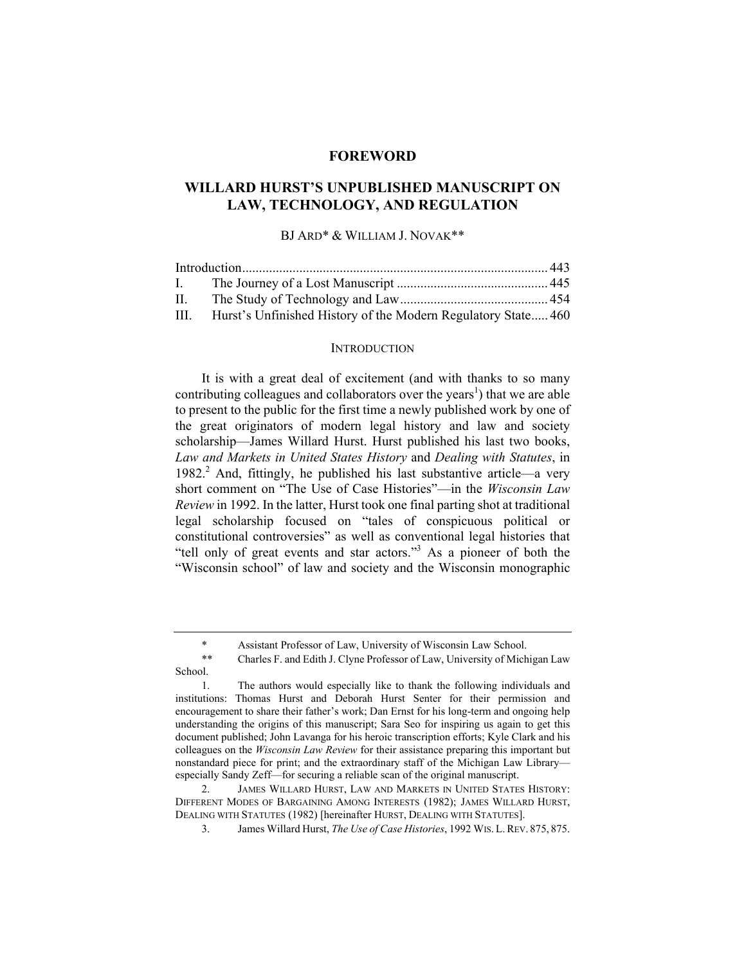## **FOREWORD**

# **WILLARD HURST'S UNPUBLISHED MANUSCRIPT ON LAW, TECHNOLOGY, AND REGULATION**

## BJ ARD\* & WILLIAM J. NOVAK\*\*

| $\mathbf{L}$ |                                                               |  |
|--------------|---------------------------------------------------------------|--|
| $\Pi$ .      |                                                               |  |
| III.         | Hurst's Unfinished History of the Modern Regulatory State 460 |  |

## **INTRODUCTION**

It is with a great deal of excitement (and with thanks to so many contributing colleagues and collaborators over the years<sup>1</sup>) that we are able to present to the public for the first time a newly published work by one of the great originators of modern legal history and law and society scholarship—James Willard Hurst. Hurst published his last two books, *Law and Markets in United States History* and *Dealing with Statutes*, in 1982.<sup>2</sup> And, fittingly, he published his last substantive article—a very short comment on "The Use of Case Histories"—in the *Wisconsin Law Review* in 1992. In the latter, Hurst took one final parting shot at traditional legal scholarship focused on "tales of conspicuous political or constitutional controversies" as well as conventional legal histories that "tell only of great events and star actors."<sup>3</sup> As a pioneer of both the "Wisconsin school" of law and society and the Wisconsin monographic

Assistant Professor of Law, University of Wisconsin Law School.

<sup>\*\*</sup> Charles F. and Edith J. Clyne Professor of Law, University of Michigan Law School.

 <sup>1.</sup> The authors would especially like to thank the following individuals and institutions: Thomas Hurst and Deborah Hurst Senter for their permission and encouragement to share their father's work; Dan Ernst for his long-term and ongoing help understanding the origins of this manuscript; Sara Seo for inspiring us again to get this document published; John Lavanga for his heroic transcription efforts; Kyle Clark and his colleagues on the *Wisconsin Law Review* for their assistance preparing this important but nonstandard piece for print; and the extraordinary staff of the Michigan Law Library especially Sandy Zeff—for securing a reliable scan of the original manuscript.

 <sup>2.</sup> JAMES WILLARD HURST, LAW AND MARKETS IN UNITED STATES HISTORY: DIFFERENT MODES OF BARGAINING AMONG INTERESTS (1982); JAMES WILLARD HURST, DEALING WITH STATUTES (1982) [hereinafter HURST, DEALING WITH STATUTES].

 <sup>3.</sup> James Willard Hurst, *The Use of Case Histories*, 1992 WIS. L.REV. 875, 875.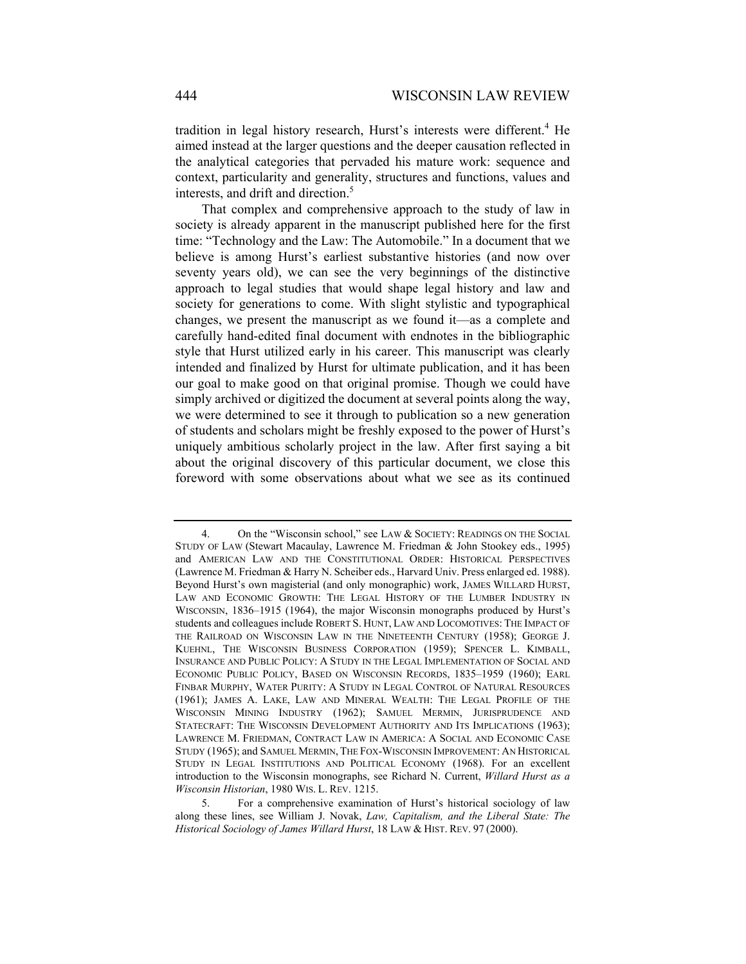tradition in legal history research, Hurst's interests were different.<sup>4</sup> He aimed instead at the larger questions and the deeper causation reflected in the analytical categories that pervaded his mature work: sequence and context, particularity and generality, structures and functions, values and interests, and drift and direction.<sup>5</sup>

That complex and comprehensive approach to the study of law in society is already apparent in the manuscript published here for the first time: "Technology and the Law: The Automobile." In a document that we believe is among Hurst's earliest substantive histories (and now over seventy years old), we can see the very beginnings of the distinctive approach to legal studies that would shape legal history and law and society for generations to come. With slight stylistic and typographical changes, we present the manuscript as we found it—as a complete and carefully hand-edited final document with endnotes in the bibliographic style that Hurst utilized early in his career. This manuscript was clearly intended and finalized by Hurst for ultimate publication, and it has been our goal to make good on that original promise. Though we could have simply archived or digitized the document at several points along the way, we were determined to see it through to publication so a new generation of students and scholars might be freshly exposed to the power of Hurst's uniquely ambitious scholarly project in the law. After first saying a bit about the original discovery of this particular document, we close this foreword with some observations about what we see as its continued

<sup>4.</sup> On the "Wisconsin school," see LAW & SOCIETY: READINGS ON THE SOCIAL STUDY OF LAW (Stewart Macaulay, Lawrence M. Friedman & John Stookey eds., 1995) and AMERICAN LAW AND THE CONSTITUTIONAL ORDER: HISTORICAL PERSPECTIVES (Lawrence M. Friedman & Harry N. Scheiber eds., Harvard Univ. Press enlarged ed. 1988). Beyond Hurst's own magisterial (and only monographic) work, JAMES WILLARD HURST, LAW AND ECONOMIC GROWTH: THE LEGAL HISTORY OF THE LUMBER INDUSTRY IN WISCONSIN, 1836–1915 (1964), the major Wisconsin monographs produced by Hurst's students and colleagues include ROBERT S. HUNT, LAW AND LOCOMOTIVES: THE IMPACT OF THE RAILROAD ON WISCONSIN LAW IN THE NINETEENTH CENTURY (1958); GEORGE J. KUEHNL, THE WISCONSIN BUSINESS CORPORATION (1959); SPENCER L. KIMBALL, INSURANCE AND PUBLIC POLICY: A STUDY IN THE LEGAL IMPLEMENTATION OF SOCIAL AND ECONOMIC PUBLIC POLICY, BASED ON WISCONSIN RECORDS, 1835–1959 (1960); EARL FINBAR MURPHY, WATER PURITY: A STUDY IN LEGAL CONTROL OF NATURAL RESOURCES (1961); JAMES A. LAKE, LAW AND MINERAL WEALTH: THE LEGAL PROFILE OF THE WISCONSIN MINING INDUSTRY (1962); SAMUEL MERMIN, JURISPRUDENCE AND STATECRAFT: THE WISCONSIN DEVELOPMENT AUTHORITY AND ITS IMPLICATIONS (1963); LAWRENCE M. FRIEDMAN, CONTRACT LAW IN AMERICA: A SOCIAL AND ECONOMIC CASE STUDY (1965); and SAMUEL MERMIN, THE FOX-WISCONSIN IMPROVEMENT: AN HISTORICAL STUDY IN LEGAL INSTITUTIONS AND POLITICAL ECONOMY (1968). For an excellent introduction to the Wisconsin monographs, see Richard N. Current, *Willard Hurst as a Wisconsin Historian*, 1980 WIS. L. REV. 1215.

 <sup>5.</sup> For a comprehensive examination of Hurst's historical sociology of law along these lines, see William J. Novak, *Law, Capitalism, and the Liberal State: The Historical Sociology of James Willard Hurst*, 18 LAW & HIST. REV. 97 (2000).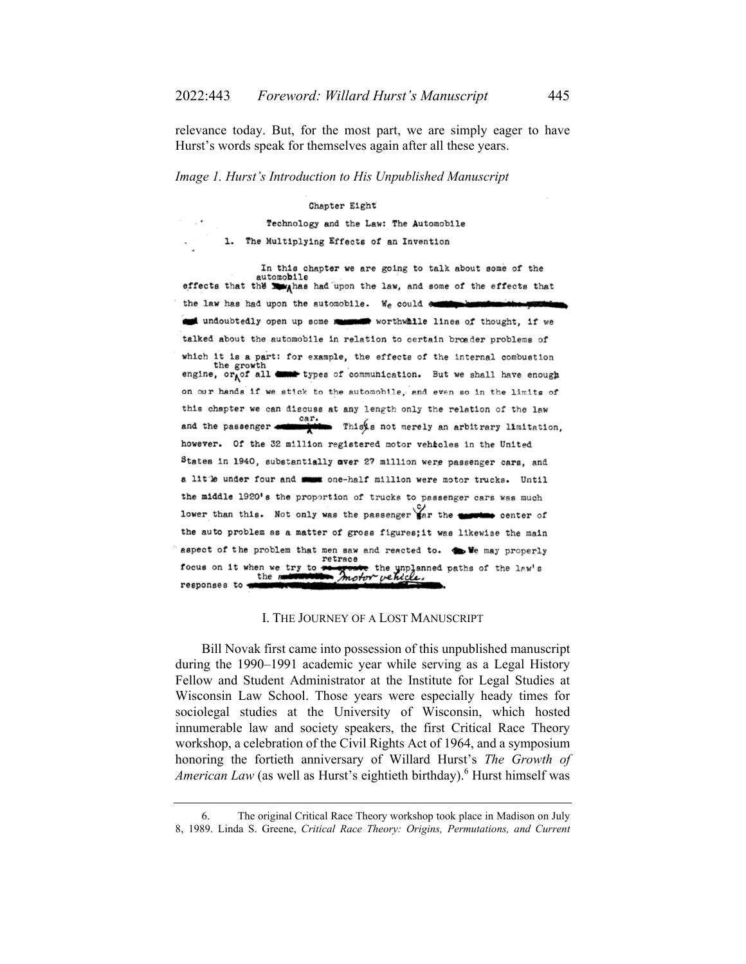relevance today. But, for the most part, we are simply eager to have Hurst's words speak for themselves again after all these years.

### *Image 1. Hurst's Introduction to His Unpublished Manuscript*

#### Chapter Eight

Technology and the Law: The Automobile

1. The Multiplying Effects of an Invention

In this chapter we are going to talk about some of the automobile effects that the supples had upon the law, and some of the effects that the law has had upon the automobile. We could communi undoubtedly open up some measured worthwhile lines of thought, if we talked about the automobile in relation to certain broader problems of which it is a part: for example, the effects of the internal combustion engine,  $\text{or}_{h}$  of all down types of communication. But we shall have enough on our hands if we stick to the automobile, and even so in the limits of this chapter we can discuss at any length only the relation of the law car.<br>and the passenger **expansive the Soutier of the Section** This is not merely an arbitrary limitation, however. Of the 32 million registered motor vehicles in the United States in 1940, substantially aver 27 million were passenger cars, and a litle under four and summy one-half million were motor trucks. Until the middle 1920's the proportion of trucks to passenger cars was much lower than this. Not only was the passenger far the **security** center of the auto problem as a matter of gross figures; it was likewise the main aspect of the problem that men saw and reacted to. So We may properly retrace focus on it when we try to we e the ynplanned paths of the law's motor vet the a responses to 4

#### I. THE JOURNEY OF A LOST MANUSCRIPT

Bill Novak first came into possession of this unpublished manuscript during the 1990–1991 academic year while serving as a Legal History Fellow and Student Administrator at the Institute for Legal Studies at Wisconsin Law School. Those years were especially heady times for sociolegal studies at the University of Wisconsin, which hosted innumerable law and society speakers, the first Critical Race Theory workshop, a celebration of the Civil Rights Act of 1964, and a symposium honoring the fortieth anniversary of Willard Hurst's *The Growth of*  American Law (as well as Hurst's eightieth birthday).<sup>6</sup> Hurst himself was

 <sup>6.</sup> The original Critical Race Theory workshop took place in Madison on July 8, 1989. Linda S. Greene, *Critical Race Theory: Origins, Permutations, and Current*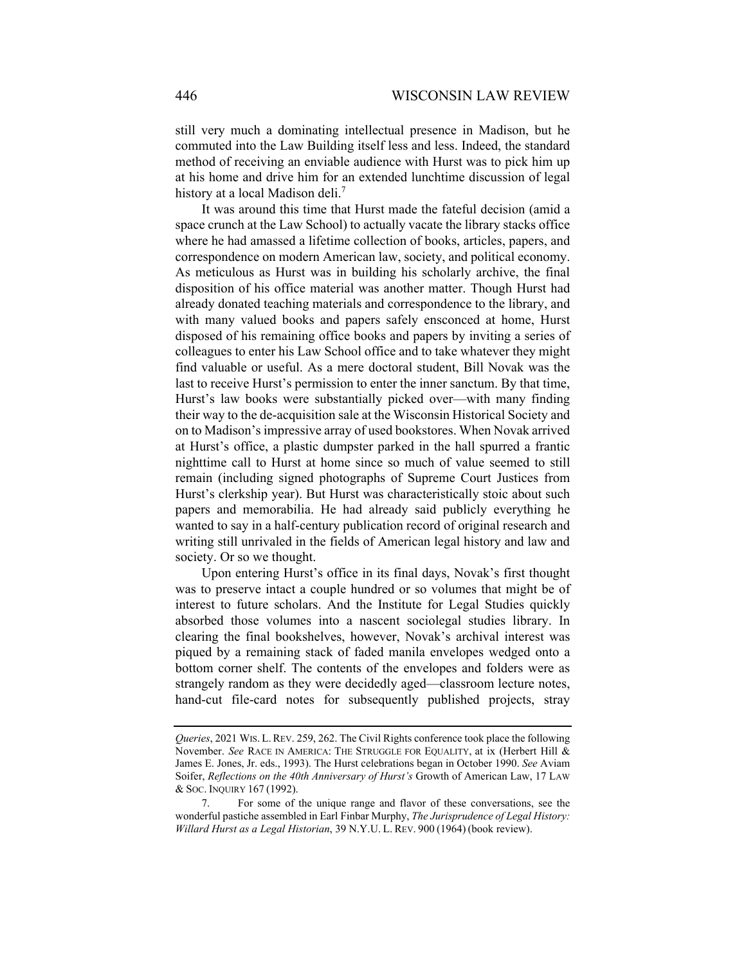still very much a dominating intellectual presence in Madison, but he commuted into the Law Building itself less and less. Indeed, the standard method of receiving an enviable audience with Hurst was to pick him up at his home and drive him for an extended lunchtime discussion of legal history at a local Madison deli.<sup>7</sup>

It was around this time that Hurst made the fateful decision (amid a space crunch at the Law School) to actually vacate the library stacks office where he had amassed a lifetime collection of books, articles, papers, and correspondence on modern American law, society, and political economy. As meticulous as Hurst was in building his scholarly archive, the final disposition of his office material was another matter. Though Hurst had already donated teaching materials and correspondence to the library, and with many valued books and papers safely ensconced at home, Hurst disposed of his remaining office books and papers by inviting a series of colleagues to enter his Law School office and to take whatever they might find valuable or useful. As a mere doctoral student, Bill Novak was the last to receive Hurst's permission to enter the inner sanctum. By that time, Hurst's law books were substantially picked over—with many finding their way to the de-acquisition sale at the Wisconsin Historical Society and on to Madison's impressive array of used bookstores. When Novak arrived at Hurst's office, a plastic dumpster parked in the hall spurred a frantic nighttime call to Hurst at home since so much of value seemed to still remain (including signed photographs of Supreme Court Justices from Hurst's clerkship year). But Hurst was characteristically stoic about such papers and memorabilia. He had already said publicly everything he wanted to say in a half-century publication record of original research and writing still unrivaled in the fields of American legal history and law and society. Or so we thought.

Upon entering Hurst's office in its final days, Novak's first thought was to preserve intact a couple hundred or so volumes that might be of interest to future scholars. And the Institute for Legal Studies quickly absorbed those volumes into a nascent sociolegal studies library. In clearing the final bookshelves, however, Novak's archival interest was piqued by a remaining stack of faded manila envelopes wedged onto a bottom corner shelf. The contents of the envelopes and folders were as strangely random as they were decidedly aged—classroom lecture notes, hand-cut file-card notes for subsequently published projects, stray

*Queries*, 2021 WIS. L.REV. 259, 262. The Civil Rights conference took place the following November. *See* RACE IN AMERICA: THE STRUGGLE FOR EQUALITY, at ix (Herbert Hill & James E. Jones, Jr. eds., 1993). The Hurst celebrations began in October 1990. *See* Aviam Soifer, *Reflections on the 40th Anniversary of Hurst's* Growth of American Law, 17 LAW & SOC. INQUIRY 167 (1992).

 <sup>7.</sup> For some of the unique range and flavor of these conversations, see the wonderful pastiche assembled in Earl Finbar Murphy, *The Jurisprudence of Legal History: Willard Hurst as a Legal Historian*, 39 N.Y.U. L. REV. 900 (1964) (book review).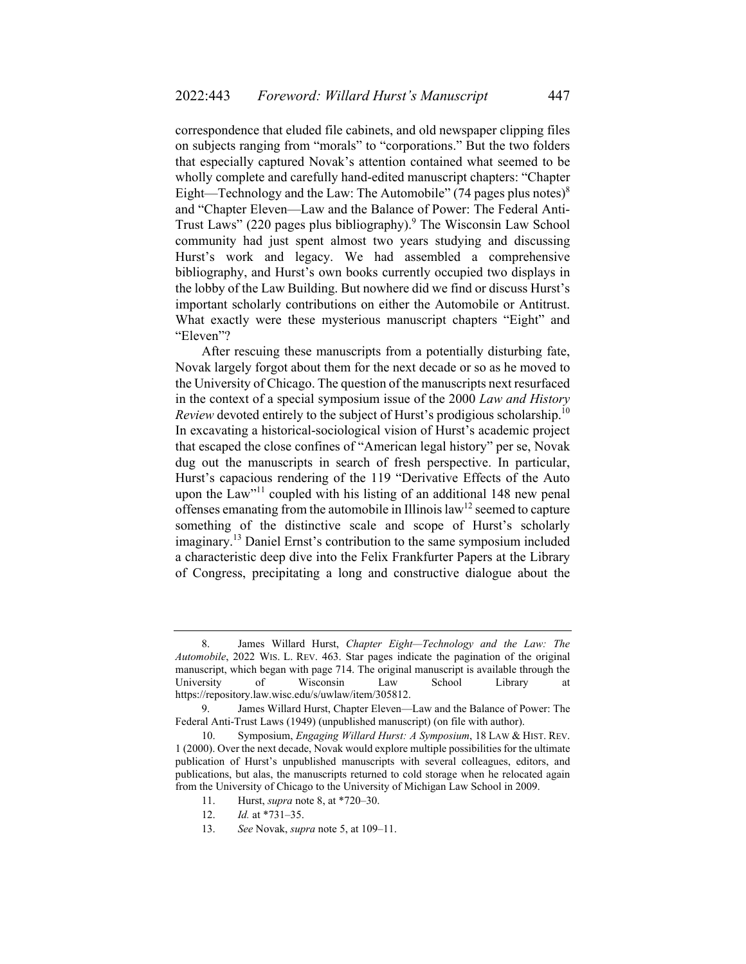correspondence that eluded file cabinets, and old newspaper clipping files on subjects ranging from "morals" to "corporations." But the two folders that especially captured Novak's attention contained what seemed to be wholly complete and carefully hand-edited manuscript chapters: "Chapter Eight—Technology and the Law: The Automobile" (74 pages plus notes) $\delta$ and "Chapter Eleven—Law and the Balance of Power: The Federal Anti-Trust Laws" (220 pages plus bibliography).<sup>9</sup> The Wisconsin Law School community had just spent almost two years studying and discussing Hurst's work and legacy. We had assembled a comprehensive bibliography, and Hurst's own books currently occupied two displays in the lobby of the Law Building. But nowhere did we find or discuss Hurst's important scholarly contributions on either the Automobile or Antitrust. What exactly were these mysterious manuscript chapters "Eight" and "Eleven"?

After rescuing these manuscripts from a potentially disturbing fate, Novak largely forgot about them for the next decade or so as he moved to the University of Chicago. The question of the manuscripts next resurfaced in the context of a special symposium issue of the 2000 *Law and History Review* devoted entirely to the subject of Hurst's prodigious scholarship.<sup>10</sup> In excavating a historical-sociological vision of Hurst's academic project that escaped the close confines of "American legal history" per se, Novak dug out the manuscripts in search of fresh perspective. In particular, Hurst's capacious rendering of the 119 "Derivative Effects of the Auto upon the Law"<sup>11</sup> coupled with his listing of an additional 148 new penal offenses emanating from the automobile in Illinois  $law<sup>12</sup>$  seemed to capture something of the distinctive scale and scope of Hurst's scholarly imaginary.<sup>13</sup> Daniel Ernst's contribution to the same symposium included a characteristic deep dive into the Felix Frankfurter Papers at the Library of Congress, precipitating a long and constructive dialogue about the

 <sup>8.</sup> James Willard Hurst, *Chapter Eight—Technology and the Law: The Automobile*, 2022 WIS. L. REV. 463. Star pages indicate the pagination of the original manuscript, which began with page 714. The original manuscript is available through the University of Wisconsin Law School Library at https://repository.law.wisc.edu/s/uwlaw/item/305812.

 <sup>9.</sup> James Willard Hurst, Chapter Eleven—Law and the Balance of Power: The Federal Anti-Trust Laws (1949) (unpublished manuscript) (on file with author).

 <sup>10.</sup> Symposium, *Engaging Willard Hurst: A Symposium*, 18 LAW & HIST. REV. 1 (2000). Over the next decade, Novak would explore multiple possibilities for the ultimate publication of Hurst's unpublished manuscripts with several colleagues, editors, and publications, but alas, the manuscripts returned to cold storage when he relocated again from the University of Chicago to the University of Michigan Law School in 2009.

 <sup>11.</sup> Hurst, *supra* note 8, at \*720–30.

 <sup>12.</sup> *Id.* at \*731–35.

 <sup>13.</sup> *See* Novak, *supra* note 5, at 109–11.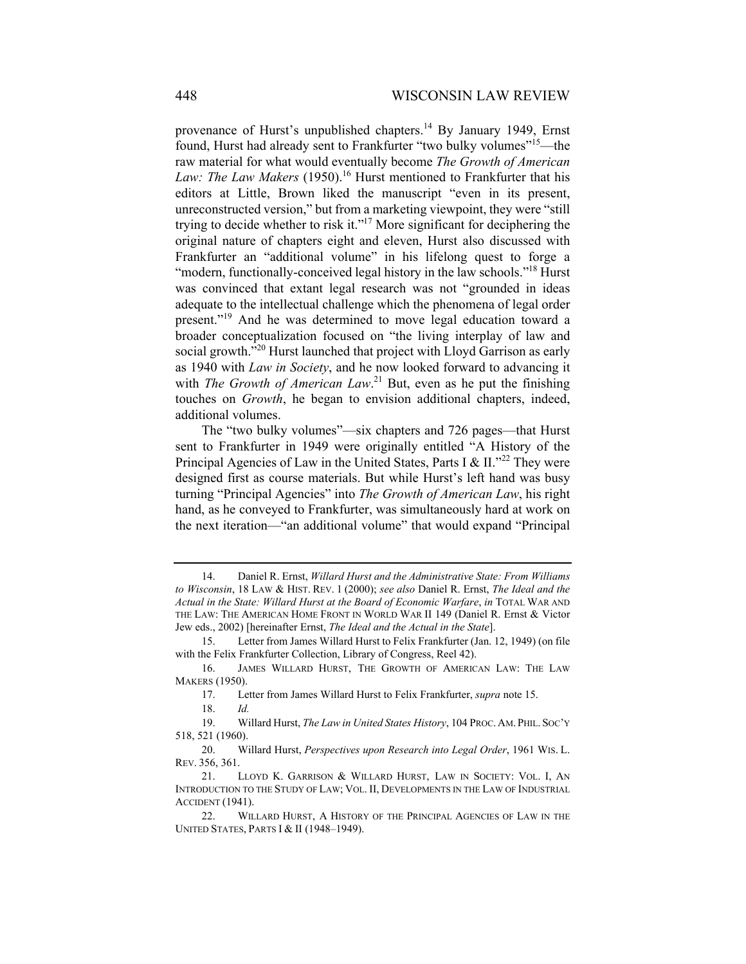provenance of Hurst's unpublished chapters.<sup>14</sup> By January 1949, Ernst found, Hurst had already sent to Frankfurter "two bulky volumes"<sup>15</sup>—the raw material for what would eventually become *The Growth of American*  Law: The Law Makers (1950).<sup>16</sup> Hurst mentioned to Frankfurter that his editors at Little, Brown liked the manuscript "even in its present, unreconstructed version," but from a marketing viewpoint, they were "still trying to decide whether to risk it."<sup>17</sup> More significant for deciphering the original nature of chapters eight and eleven, Hurst also discussed with Frankfurter an "additional volume" in his lifelong quest to forge a "modern, functionally-conceived legal history in the law schools."<sup>18</sup> Hurst was convinced that extant legal research was not "grounded in ideas adequate to the intellectual challenge which the phenomena of legal order present."<sup>19</sup> And he was determined to move legal education toward a broader conceptualization focused on "the living interplay of law and social growth."<sup>20</sup> Hurst launched that project with Lloyd Garrison as early as 1940 with *Law in Society*, and he now looked forward to advancing it with *The Growth of American Law*.<sup>21</sup> But, even as he put the finishing touches on *Growth*, he began to envision additional chapters, indeed, additional volumes.

The "two bulky volumes"—six chapters and 726 pages—that Hurst sent to Frankfurter in 1949 were originally entitled "A History of the Principal Agencies of Law in the United States, Parts I & II."<sup>22</sup> They were designed first as course materials. But while Hurst's left hand was busy turning "Principal Agencies" into *The Growth of American Law*, his right hand, as he conveyed to Frankfurter, was simultaneously hard at work on the next iteration—"an additional volume" that would expand "Principal

 16. JAMES WILLARD HURST, THE GROWTH OF AMERICAN LAW: THE LAW MAKERS (1950).

 <sup>14.</sup> Daniel R. Ernst, *Willard Hurst and the Administrative State: From Williams to Wisconsin*, 18 LAW & HIST. REV. 1 (2000); *see also* Daniel R. Ernst, *The Ideal and the Actual in the State: Willard Hurst at the Board of Economic Warfare*, *in* TOTAL WAR AND THE LAW: THE AMERICAN HOME FRONT IN WORLD WAR II 149 (Daniel R. Ernst & Victor Jew eds., 2002) [hereinafter Ernst, *The Ideal and the Actual in the State*].

 <sup>15.</sup> Letter from James Willard Hurst to Felix Frankfurter (Jan. 12, 1949) (on file with the Felix Frankfurter Collection, Library of Congress, Reel 42).

 <sup>17.</sup> Letter from James Willard Hurst to Felix Frankfurter, *supra* note 15.

 <sup>19.</sup> Willard Hurst, *The Law in United States History*, 104 PROC. AM. PHIL. SOC'Y 518, 521 (1960).

 <sup>20.</sup> Willard Hurst, *Perspectives upon Research into Legal Order*, 1961 WIS. L. REV. 356, 361.

 <sup>21.</sup> LLOYD K. GARRISON & WILLARD HURST, LAW IN SOCIETY: VOL. I, AN INTRODUCTION TO THE STUDY OF LAW; VOL. II, DEVELOPMENTS IN THE LAW OF INDUSTRIAL ACCIDENT (1941).

<sup>22.</sup> WILLARD HURST, A HISTORY OF THE PRINCIPAL AGENCIES OF LAW IN THE UNITED STATES, PARTS I & II (1948–1949).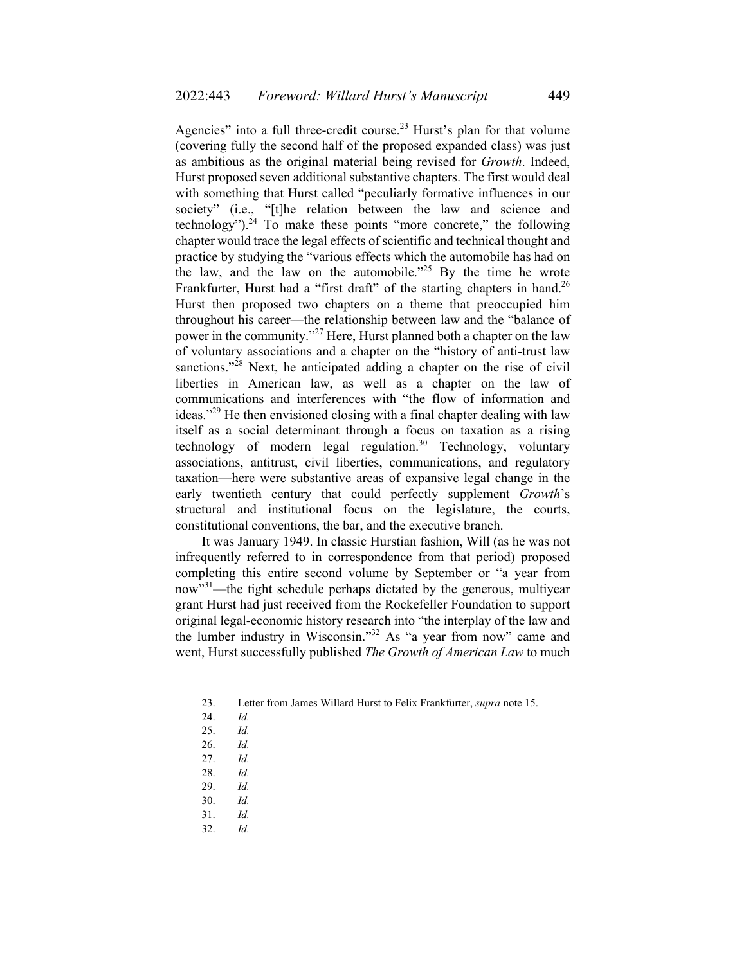Agencies" into a full three-credit course.<sup>23</sup> Hurst's plan for that volume (covering fully the second half of the proposed expanded class) was just as ambitious as the original material being revised for *Growth*. Indeed, Hurst proposed seven additional substantive chapters. The first would deal with something that Hurst called "peculiarly formative influences in our society" (i.e., "[t]he relation between the law and science and technology").<sup>24</sup> To make these points "more concrete," the following chapter would trace the legal effects of scientific and technical thought and practice by studying the "various effects which the automobile has had on the law, and the law on the automobile."25 By the time he wrote Frankfurter, Hurst had a "first draft" of the starting chapters in hand.<sup>26</sup> Hurst then proposed two chapters on a theme that preoccupied him throughout his career—the relationship between law and the "balance of power in the community."27 Here, Hurst planned both a chapter on the law of voluntary associations and a chapter on the "history of anti-trust law sanctions."<sup>28</sup> Next, he anticipated adding a chapter on the rise of civil liberties in American law, as well as a chapter on the law of communications and interferences with "the flow of information and ideas."<sup>29</sup> He then envisioned closing with a final chapter dealing with law itself as a social determinant through a focus on taxation as a rising technology of modern legal regulation.<sup>30</sup> Technology, voluntary associations, antitrust, civil liberties, communications, and regulatory taxation—here were substantive areas of expansive legal change in the early twentieth century that could perfectly supplement *Growth*'s structural and institutional focus on the legislature, the courts, constitutional conventions, the bar, and the executive branch.

It was January 1949. In classic Hurstian fashion, Will (as he was not infrequently referred to in correspondence from that period) proposed completing this entire second volume by September or "a year from now"<sup>31</sup>—the tight schedule perhaps dictated by the generous, multiyear grant Hurst had just received from the Rockefeller Foundation to support original legal-economic history research into "the interplay of the law and the lumber industry in Wisconsin."32 As "a year from now" came and went, Hurst successfully published *The Growth of American Law* to much

24. *Id.* 

 <sup>23.</sup> Letter from James Willard Hurst to Felix Frankfurter, *supra* note 15.

 <sup>25.</sup> *Id.* 

 <sup>26.</sup> *Id.* 

 <sup>27.</sup> *Id.* 

 <sup>28.</sup> *Id.* 

 <sup>29.</sup> *Id.* 

 <sup>30.</sup> *Id.*

 <sup>31.</sup> *Id.*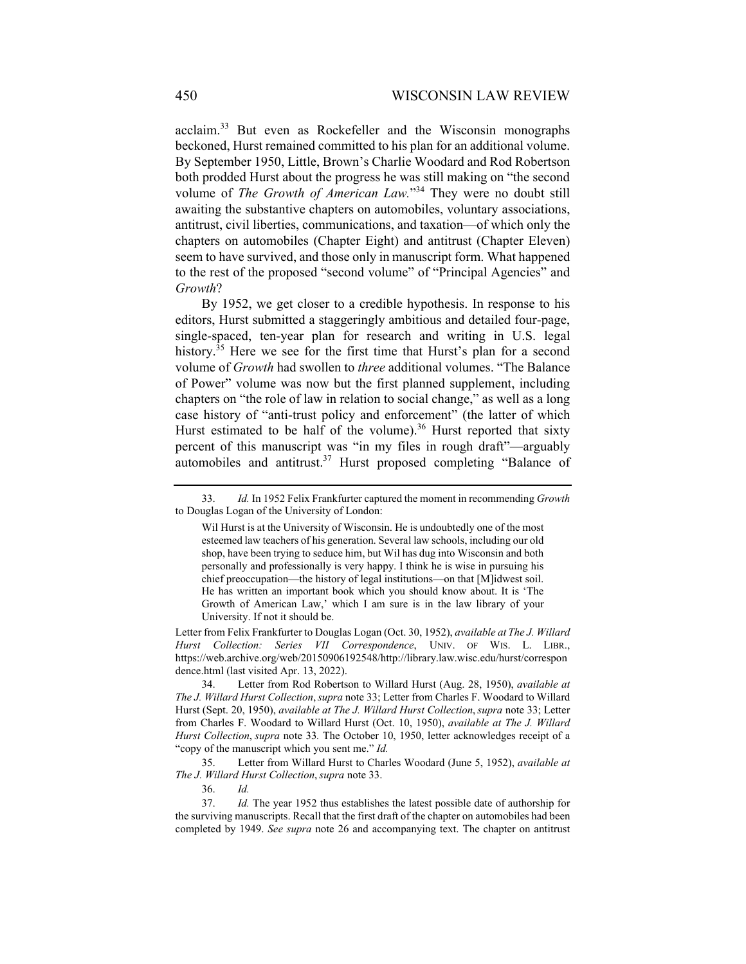acclaim.33 But even as Rockefeller and the Wisconsin monographs beckoned, Hurst remained committed to his plan for an additional volume. By September 1950, Little, Brown's Charlie Woodard and Rod Robertson both prodded Hurst about the progress he was still making on "the second volume of *The Growth of American Law.*"<sup>34</sup> They were no doubt still awaiting the substantive chapters on automobiles, voluntary associations, antitrust, civil liberties, communications, and taxation—of which only the chapters on automobiles (Chapter Eight) and antitrust (Chapter Eleven) seem to have survived, and those only in manuscript form. What happened to the rest of the proposed "second volume" of "Principal Agencies" and *Growth*?

By 1952, we get closer to a credible hypothesis. In response to his editors, Hurst submitted a staggeringly ambitious and detailed four-page, single-spaced, ten-year plan for research and writing in U.S. legal history.<sup>35</sup> Here we see for the first time that Hurst's plan for a second volume of *Growth* had swollen to *three* additional volumes. "The Balance of Power" volume was now but the first planned supplement, including chapters on "the role of law in relation to social change," as well as a long case history of "anti-trust policy and enforcement" (the latter of which Hurst estimated to be half of the volume).<sup>36</sup> Hurst reported that sixty percent of this manuscript was "in my files in rough draft"—arguably automobiles and antitrust.<sup>37</sup> Hurst proposed completing "Balance of

Letter from Felix Frankfurter to Douglas Logan (Oct. 30, 1952), *available at The J. Willard Hurst Collection: Series VII Correspondence*, UNIV. OF WIS. L. LIBR., https://web.archive.org/web/20150906192548/http://library.law.wisc.edu/hurst/correspon dence.html (last visited Apr. 13, 2022).

 34. Letter from Rod Robertson to Willard Hurst (Aug. 28, 1950), *available at The J. Willard Hurst Collection*,*supra* note 33; Letter from Charles F. Woodard to Willard Hurst (Sept. 20, 1950), *available at The J. Willard Hurst Collection*, *supra* note 33; Letter from Charles F. Woodard to Willard Hurst (Oct. 10, 1950), *available at The J. Willard Hurst Collection*, *supra* note 33*.* The October 10, 1950, letter acknowledges receipt of a "copy of the manuscript which you sent me." *Id.* 

 35. Letter from Willard Hurst to Charles Woodard (June 5, 1952), *available at The J. Willard Hurst Collection*, *supra* note 33.

 <sup>33.</sup> *Id.* In 1952 Felix Frankfurter captured the moment in recommending *Growth* to Douglas Logan of the University of London:

Wil Hurst is at the University of Wisconsin. He is undoubtedly one of the most esteemed law teachers of his generation. Several law schools, including our old shop, have been trying to seduce him, but Wil has dug into Wisconsin and both personally and professionally is very happy. I think he is wise in pursuing his chief preoccupation—the history of legal institutions—on that [M]idwest soil. He has written an important book which you should know about. It is 'The Growth of American Law,' which I am sure is in the law library of your University. If not it should be.

 <sup>37.</sup> *Id.* The year 1952 thus establishes the latest possible date of authorship for the surviving manuscripts. Recall that the first draft of the chapter on automobiles had been completed by 1949. *See supra* note 26 and accompanying text. The chapter on antitrust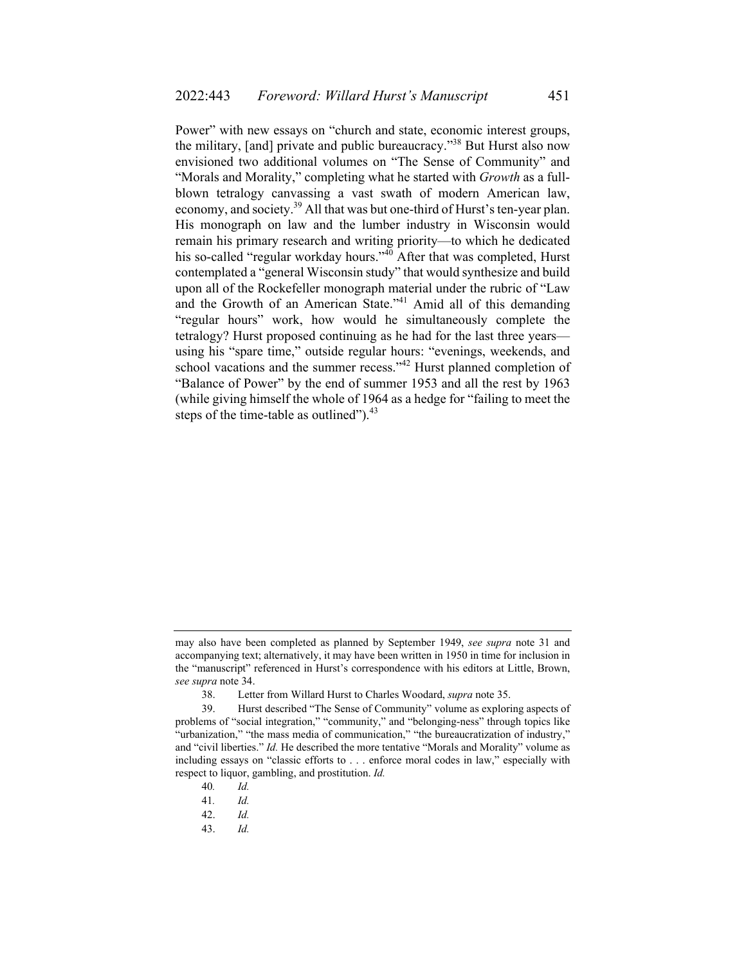Power" with new essays on "church and state, economic interest groups, the military, [and] private and public bureaucracy."38 But Hurst also now envisioned two additional volumes on "The Sense of Community" and "Morals and Morality," completing what he started with *Growth* as a fullblown tetralogy canvassing a vast swath of modern American law, economy, and society.<sup>39</sup> All that was but one-third of Hurst's ten-year plan. His monograph on law and the lumber industry in Wisconsin would remain his primary research and writing priority—to which he dedicated his so-called "regular workday hours."<sup>40</sup> After that was completed, Hurst contemplated a "general Wisconsin study" that would synthesize and build upon all of the Rockefeller monograph material under the rubric of "Law and the Growth of an American State."<sup>41</sup> Amid all of this demanding "regular hours" work, how would he simultaneously complete the tetralogy? Hurst proposed continuing as he had for the last three years using his "spare time," outside regular hours: "evenings, weekends, and school vacations and the summer recess."<sup>42</sup> Hurst planned completion of "Balance of Power" by the end of summer 1953 and all the rest by 1963 (while giving himself the whole of 1964 as a hedge for "failing to meet the steps of the time-table as outlined"). $43$ 

40*. Id.* 

may also have been completed as planned by September 1949, *see supra* note 31 and accompanying text; alternatively, it may have been written in 1950 in time for inclusion in the "manuscript" referenced in Hurst's correspondence with his editors at Little, Brown, *see supra* note 34.

 <sup>38.</sup> Letter from Willard Hurst to Charles Woodard, *supra* note 35.

 <sup>39.</sup> Hurst described "The Sense of Community" volume as exploring aspects of problems of "social integration," "community," and "belonging-ness" through topics like "urbanization," "the mass media of communication," "the bureaucratization of industry," and "civil liberties." *Id.* He described the more tentative "Morals and Morality" volume as including essays on "classic efforts to . . . enforce moral codes in law," especially with respect to liquor, gambling, and prostitution. *Id.* 

<sup>41</sup>*. Id.* 

 <sup>42.</sup> *Id.*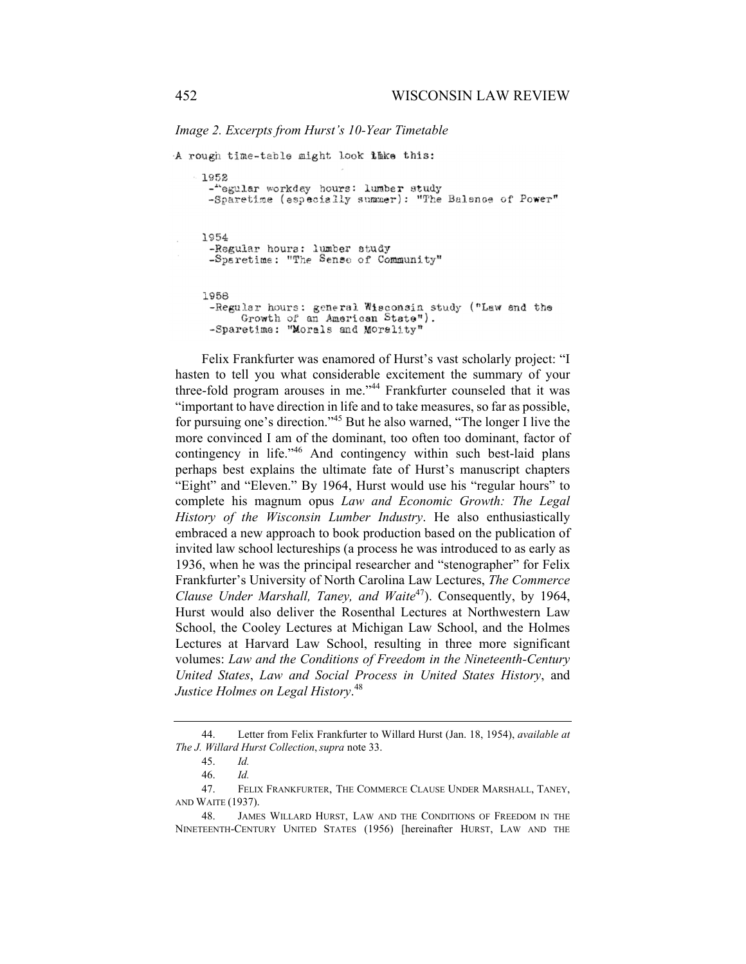*Image 2. Excerpts from Hurst's 10-Year Timetable* 

```
A rough time-table might look thke this:
1952
 -"egular workday hours: lumber study
 -Sparetime (especially summer): "The Balsnee of Power"
1954
 -Regular hours: lumber study
 -Sparetime: "The Sense of Community"
1958
 -Regular hours: general Wisconsin study ("Law and the
      Growth of an American State").
 -Sparetime: "Morals and Morality"
```
Felix Frankfurter was enamored of Hurst's vast scholarly project: "I hasten to tell you what considerable excitement the summary of your three-fold program arouses in me."<sup>44</sup> Frankfurter counseled that it was "important to have direction in life and to take measures, so far as possible, for pursuing one's direction."45 But he also warned, "The longer I live the more convinced I am of the dominant, too often too dominant, factor of contingency in life."<sup>46</sup> And contingency within such best-laid plans perhaps best explains the ultimate fate of Hurst's manuscript chapters "Eight" and "Eleven." By 1964, Hurst would use his "regular hours" to complete his magnum opus *Law and Economic Growth: The Legal History of the Wisconsin Lumber Industry*. He also enthusiastically embraced a new approach to book production based on the publication of invited law school lectureships (a process he was introduced to as early as 1936, when he was the principal researcher and "stenographer" for Felix Frankfurter's University of North Carolina Law Lectures, *The Commerce Clause Under Marshall, Taney, and Waite*47). Consequently, by 1964, Hurst would also deliver the Rosenthal Lectures at Northwestern Law School, the Cooley Lectures at Michigan Law School, and the Holmes Lectures at Harvard Law School, resulting in three more significant volumes: *Law and the Conditions of Freedom in the Nineteenth-Century United States*, *Law and Social Process in United States History*, and *Justice Holmes on Legal History*. 48

 <sup>44.</sup> Letter from Felix Frankfurter to Willard Hurst (Jan. 18, 1954), *available at The J. Willard Hurst Collection*, *supra* note 33.

 <sup>45.</sup> *Id.* 

 <sup>46.</sup> *Id.*

 <sup>47.</sup> FELIX FRANKFURTER, THE COMMERCE CLAUSE UNDER MARSHALL, TANEY, AND WAITE (1937).

 <sup>48.</sup> JAMES WILLARD HURST, LAW AND THE CONDITIONS OF FREEDOM IN THE NINETEENTH-CENTURY UNITED STATES (1956) [hereinafter HURST, LAW AND THE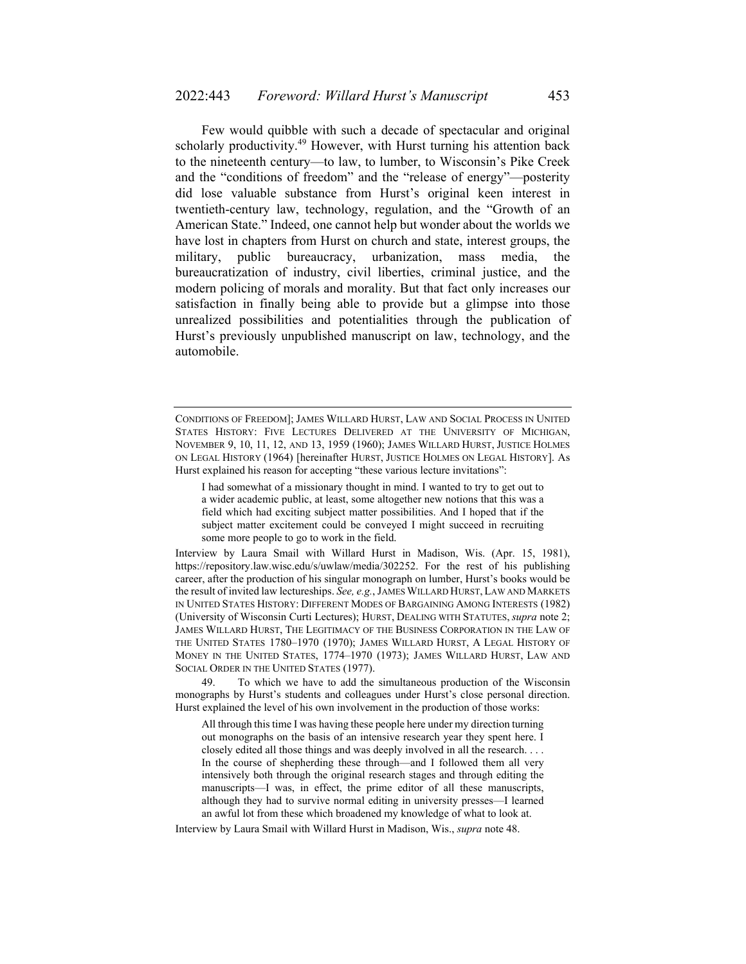Few would quibble with such a decade of spectacular and original scholarly productivity.<sup>49</sup> However, with Hurst turning his attention back to the nineteenth century—to law, to lumber, to Wisconsin's Pike Creek and the "conditions of freedom" and the "release of energy"—posterity did lose valuable substance from Hurst's original keen interest in twentieth-century law, technology, regulation, and the "Growth of an American State." Indeed, one cannot help but wonder about the worlds we have lost in chapters from Hurst on church and state, interest groups, the military, public bureaucracy, urbanization, mass media, the bureaucratization of industry, civil liberties, criminal justice, and the modern policing of morals and morality. But that fact only increases our satisfaction in finally being able to provide but a glimpse into those unrealized possibilities and potentialities through the publication of Hurst's previously unpublished manuscript on law, technology, and the automobile.

Interview by Laura Smail with Willard Hurst in Madison, Wis. (Apr. 15, 1981), https://repository.law.wisc.edu/s/uwlaw/media/302252. For the rest of his publishing career, after the production of his singular monograph on lumber, Hurst's books would be the result of invited law lectureships. *See, e.g.*, JAMES WILLARD HURST,LAW AND MARKETS IN UNITED STATES HISTORY: DIFFERENT MODES OF BARGAINING AMONG INTERESTS (1982) (University of Wisconsin Curti Lectures); HURST, DEALING WITH STATUTES, *supra* note 2; JAMES WILLARD HURST, THE LEGITIMACY OF THE BUSINESS CORPORATION IN THE LAW OF THE UNITED STATES 1780–1970 (1970); JAMES WILLARD HURST, A LEGAL HISTORY OF MONEY IN THE UNITED STATES, 1774–1970 (1973); JAMES WILLARD HURST, LAW AND SOCIAL ORDER IN THE UNITED STATES (1977).

 49. To which we have to add the simultaneous production of the Wisconsin monographs by Hurst's students and colleagues under Hurst's close personal direction. Hurst explained the level of his own involvement in the production of those works:

All through this time I was having these people here under my direction turning out monographs on the basis of an intensive research year they spent here. I closely edited all those things and was deeply involved in all the research. . . . In the course of shepherding these through—and I followed them all very intensively both through the original research stages and through editing the manuscripts—I was, in effect, the prime editor of all these manuscripts, although they had to survive normal editing in university presses—I learned an awful lot from these which broadened my knowledge of what to look at.

Interview by Laura Smail with Willard Hurst in Madison, Wis., *supra* note 48.

CONDITIONS OF FREEDOM]; JAMES WILLARD HURST, LAW AND SOCIAL PROCESS IN UNITED STATES HISTORY: FIVE LECTURES DELIVERED AT THE UNIVERSITY OF MICHIGAN, NOVEMBER 9, 10, 11, 12, AND 13, 1959 (1960); JAMES WILLARD HURST, JUSTICE HOLMES ON LEGAL HISTORY (1964) [hereinafter HURST, JUSTICE HOLMES ON LEGAL HISTORY]. As Hurst explained his reason for accepting "these various lecture invitations":

I had somewhat of a missionary thought in mind. I wanted to try to get out to a wider academic public, at least, some altogether new notions that this was a field which had exciting subject matter possibilities. And I hoped that if the subject matter excitement could be conveyed I might succeed in recruiting some more people to go to work in the field.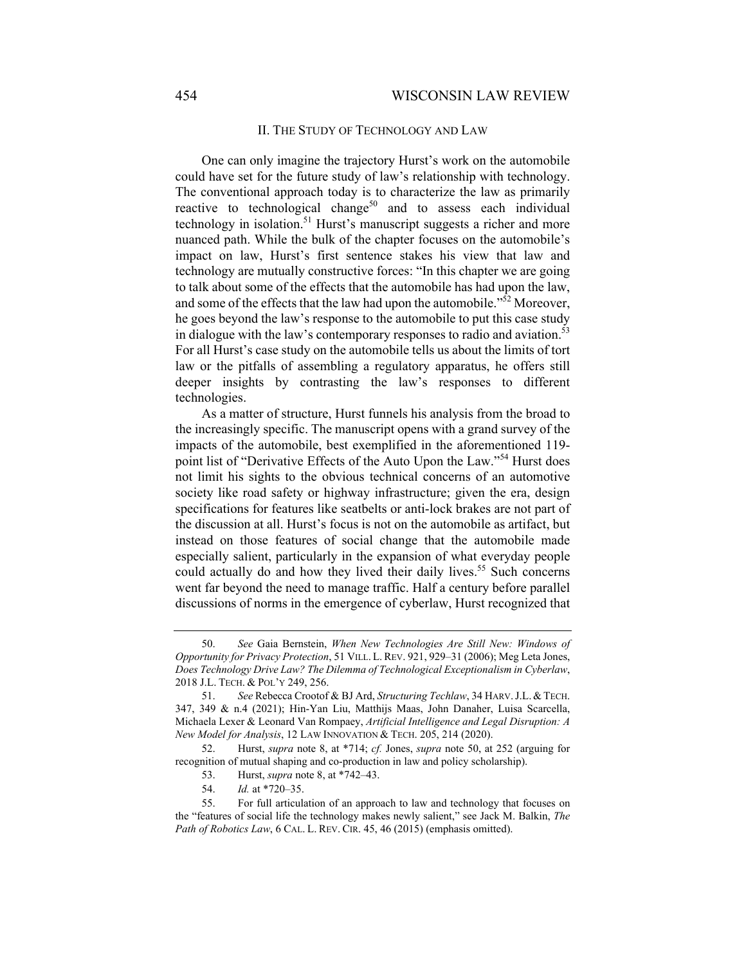## II. THE STUDY OF TECHNOLOGY AND LAW

One can only imagine the trajectory Hurst's work on the automobile could have set for the future study of law's relationship with technology. The conventional approach today is to characterize the law as primarily reactive to technological change<sup>50</sup> and to assess each individual technology in isolation.<sup>51</sup> Hurst's manuscript suggests a richer and more nuanced path. While the bulk of the chapter focuses on the automobile's impact on law, Hurst's first sentence stakes his view that law and technology are mutually constructive forces: "In this chapter we are going to talk about some of the effects that the automobile has had upon the law, and some of the effects that the law had upon the automobile."<sup>52</sup> Moreover, he goes beyond the law's response to the automobile to put this case study in dialogue with the law's contemporary responses to radio and aviation.<sup>53</sup> For all Hurst's case study on the automobile tells us about the limits of tort law or the pitfalls of assembling a regulatory apparatus, he offers still deeper insights by contrasting the law's responses to different technologies.

As a matter of structure, Hurst funnels his analysis from the broad to the increasingly specific. The manuscript opens with a grand survey of the impacts of the automobile, best exemplified in the aforementioned 119 point list of "Derivative Effects of the Auto Upon the Law."54 Hurst does not limit his sights to the obvious technical concerns of an automotive society like road safety or highway infrastructure; given the era, design specifications for features like seatbelts or anti-lock brakes are not part of the discussion at all. Hurst's focus is not on the automobile as artifact, but instead on those features of social change that the automobile made especially salient, particularly in the expansion of what everyday people could actually do and how they lived their daily lives.<sup>55</sup> Such concerns went far beyond the need to manage traffic. Half a century before parallel discussions of norms in the emergence of cyberlaw, Hurst recognized that

 <sup>50.</sup> *See* Gaia Bernstein, *When New Technologies Are Still New: Windows of Opportunity for Privacy Protection*, 51 VILL. L.REV. 921, 929–31 (2006); Meg Leta Jones, *Does Technology Drive Law? The Dilemma of Technological Exceptionalism in Cyberlaw*, 2018 J.L. TECH. & POL'Y 249, 256.

 <sup>51.</sup> *See* Rebecca Crootof & BJ Ard, *Structuring Techlaw*, 34 HARV.J.L.&TECH. 347, 349 & n.4 (2021); Hin-Yan Liu, Matthijs Maas, John Danaher, Luisa Scarcella, Michaela Lexer & Leonard Van Rompaey, *Artificial Intelligence and Legal Disruption: A New Model for Analysis*, 12 LAW INNOVATION & TECH. 205, 214 (2020).

 <sup>52.</sup> Hurst, *supra* note 8, at \*714; *cf.* Jones, *supra* note 50, at 252 (arguing for recognition of mutual shaping and co-production in law and policy scholarship).

 <sup>53.</sup> Hurst, *supra* note 8, at \*742–43.

 <sup>54.</sup> *Id.* at \*720–35.

 <sup>55.</sup> For full articulation of an approach to law and technology that focuses on the "features of social life the technology makes newly salient," see Jack M. Balkin, *The Path of Robotics Law*, 6 CAL. L. REV. CIR. 45, 46 (2015) (emphasis omitted).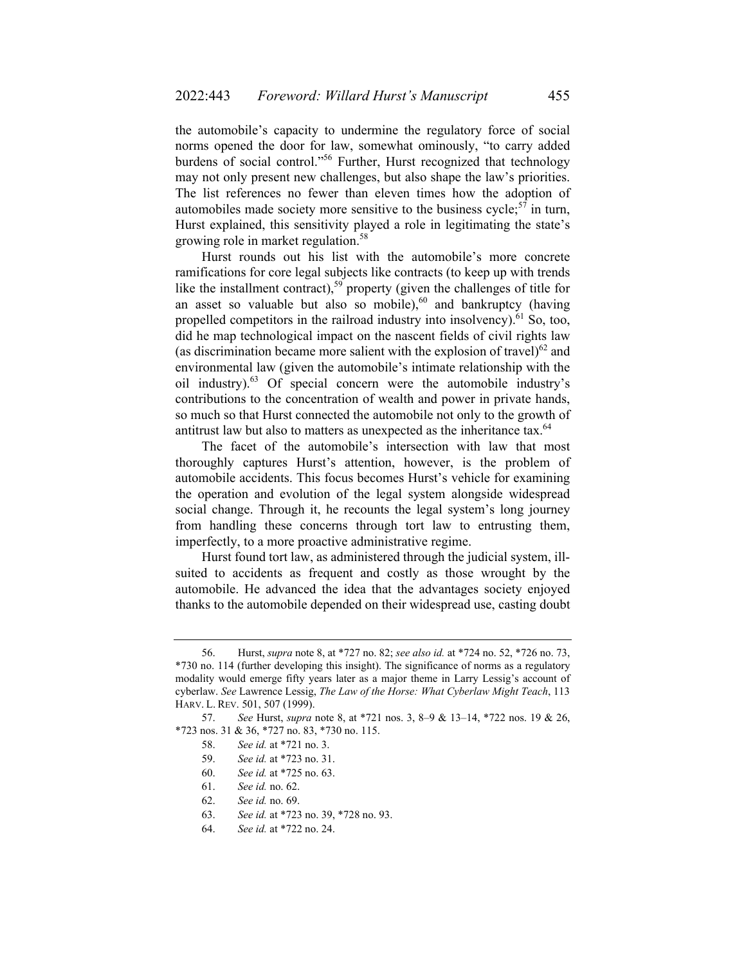the automobile's capacity to undermine the regulatory force of social norms opened the door for law, somewhat ominously, "to carry added burdens of social control."56 Further, Hurst recognized that technology may not only present new challenges, but also shape the law's priorities. The list references no fewer than eleven times how the adoption of automobiles made society more sensitive to the business cycle; $57$  in turn, Hurst explained, this sensitivity played a role in legitimating the state's growing role in market regulation.<sup>58</sup>

Hurst rounds out his list with the automobile's more concrete ramifications for core legal subjects like contracts (to keep up with trends like the installment contract), $59$  property (given the challenges of title for an asset so valuable but also so mobile),<sup>60</sup> and bankruptcy (having propelled competitors in the railroad industry into insolvency). $61$  So, too, did he map technological impact on the nascent fields of civil rights law (as discrimination became more salient with the explosion of travel) $^{62}$  and environmental law (given the automobile's intimate relationship with the oil industry).63 Of special concern were the automobile industry's contributions to the concentration of wealth and power in private hands, so much so that Hurst connected the automobile not only to the growth of antitrust law but also to matters as unexpected as the inheritance tax.<sup>64</sup>

The facet of the automobile's intersection with law that most thoroughly captures Hurst's attention, however, is the problem of automobile accidents. This focus becomes Hurst's vehicle for examining the operation and evolution of the legal system alongside widespread social change. Through it, he recounts the legal system's long journey from handling these concerns through tort law to entrusting them, imperfectly, to a more proactive administrative regime.

Hurst found tort law, as administered through the judicial system, illsuited to accidents as frequent and costly as those wrought by the automobile. He advanced the idea that the advantages society enjoyed thanks to the automobile depended on their widespread use, casting doubt

 <sup>56.</sup> Hurst, *supra* note 8, at \*727 no. 82; *see also id.* at \*724 no. 52, \*726 no. 73, \*730 no. 114 (further developing this insight). The significance of norms as a regulatory modality would emerge fifty years later as a major theme in Larry Lessig's account of cyberlaw. *See* Lawrence Lessig, *The Law of the Horse: What Cyberlaw Might Teach*, 113 HARV. L. REV. 501, 507 (1999).

 <sup>57.</sup> *See* Hurst, *supra* note 8, at \*721 nos. 3, 8–9 & 13–14, \*722 nos. 19 & 26, \*723 nos. 31 & 36, \*727 no. 83, \*730 no. 115.

 <sup>58.</sup> *See id.* at \*721 no. 3.

 <sup>59.</sup> *See id.* at \*723 no. 31.

 <sup>60.</sup> *See id.* at \*725 no. 63.

 <sup>61.</sup> *See id.* no. 62.

 <sup>62.</sup> *See id.* no. 69.

 <sup>63.</sup> *See id.* at \*723 no. 39, \*728 no. 93.

 <sup>64.</sup> *See id.* at \*722 no. 24.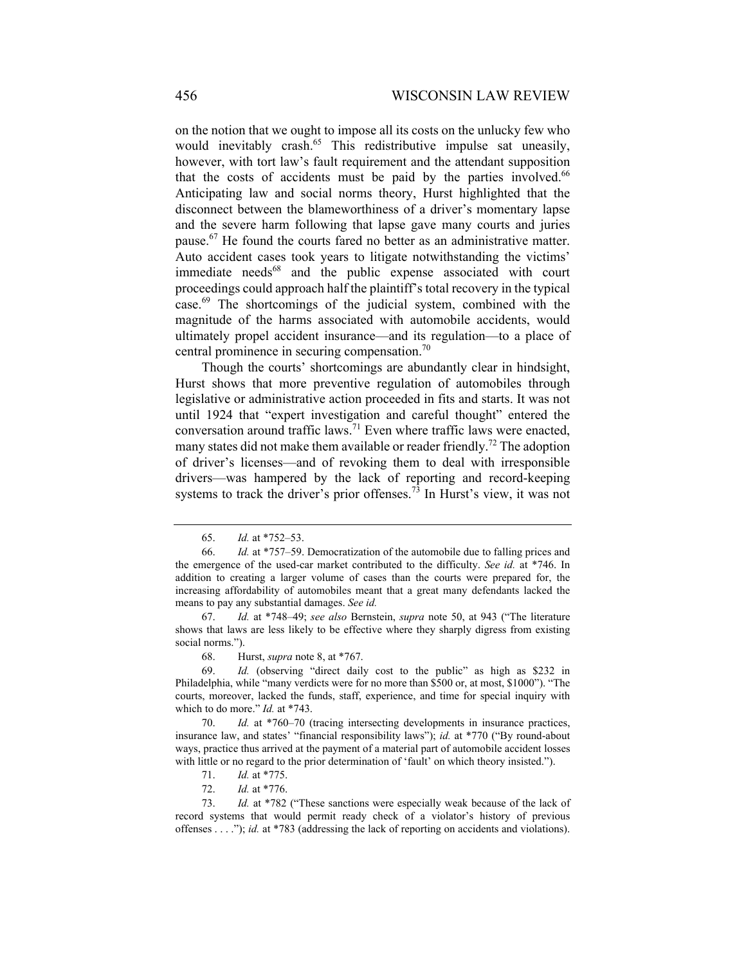on the notion that we ought to impose all its costs on the unlucky few who would inevitably crash.<sup>65</sup> This redistributive impulse sat uneasily, however, with tort law's fault requirement and the attendant supposition that the costs of accidents must be paid by the parties involved.<sup>66</sup> Anticipating law and social norms theory, Hurst highlighted that the disconnect between the blameworthiness of a driver's momentary lapse and the severe harm following that lapse gave many courts and juries pause.67 He found the courts fared no better as an administrative matter. Auto accident cases took years to litigate notwithstanding the victims' immediate needs<sup>68</sup> and the public expense associated with court proceedings could approach half the plaintiff's total recovery in the typical case.<sup>69</sup> The shortcomings of the judicial system, combined with the magnitude of the harms associated with automobile accidents, would ultimately propel accident insurance—and its regulation—to a place of central prominence in securing compensation.<sup>70</sup>

Though the courts' shortcomings are abundantly clear in hindsight, Hurst shows that more preventive regulation of automobiles through legislative or administrative action proceeded in fits and starts. It was not until 1924 that "expert investigation and careful thought" entered the conversation around traffic laws.71 Even where traffic laws were enacted, many states did not make them available or reader friendly.<sup>72</sup> The adoption of driver's licenses—and of revoking them to deal with irresponsible drivers—was hampered by the lack of reporting and record-keeping systems to track the driver's prior offenses.<sup>73</sup> In Hurst's view, it was not

71. *Id.* at \*775.

 <sup>65.</sup> *Id.* at \*752–53.

 <sup>66.</sup> *Id.* at \*757–59. Democratization of the automobile due to falling prices and the emergence of the used-car market contributed to the difficulty. *See id.* at \*746. In addition to creating a larger volume of cases than the courts were prepared for, the increasing affordability of automobiles meant that a great many defendants lacked the means to pay any substantial damages. *See id.*

 <sup>67.</sup> *Id.* at \*748–49; *see also* Bernstein, *supra* note 50, at 943 ("The literature shows that laws are less likely to be effective where they sharply digress from existing social norms.").

 <sup>68.</sup> Hurst, *supra* note 8, at \*767.

 <sup>69.</sup> *Id.* (observing "direct daily cost to the public" as high as \$232 in Philadelphia, while "many verdicts were for no more than \$500 or, at most, \$1000"). "The courts, moreover, lacked the funds, staff, experience, and time for special inquiry with which to do more." *Id.* at \*743.

 <sup>70.</sup> *Id.* at \*760–70 (tracing intersecting developments in insurance practices, insurance law, and states' "financial responsibility laws"); *id.* at \*770 ("By round-about ways, practice thus arrived at the payment of a material part of automobile accident losses with little or no regard to the prior determination of 'fault' on which theory insisted.").

 <sup>72.</sup> *Id.* at \*776.

 <sup>73.</sup> *Id.* at \*782 ("These sanctions were especially weak because of the lack of record systems that would permit ready check of a violator's history of previous offenses . . . ."); *id.* at \*783 (addressing the lack of reporting on accidents and violations).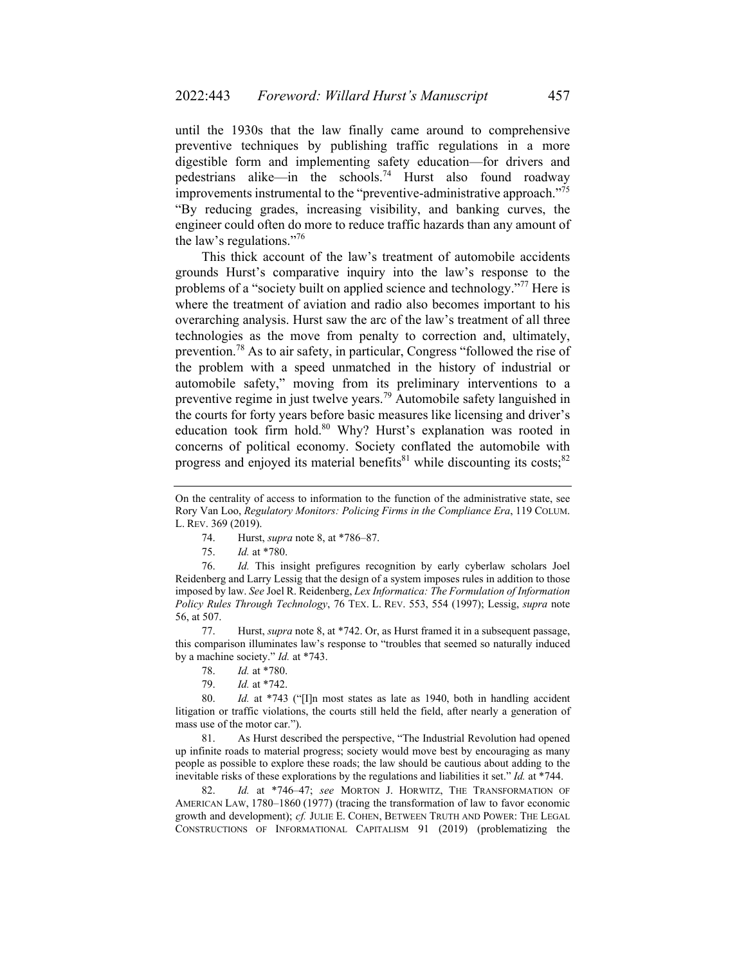until the 1930s that the law finally came around to comprehensive preventive techniques by publishing traffic regulations in a more digestible form and implementing safety education—for drivers and pedestrians alike—in the schools.74 Hurst also found roadway improvements instrumental to the "preventive-administrative approach."<sup>75</sup> "By reducing grades, increasing visibility, and banking curves, the engineer could often do more to reduce traffic hazards than any amount of the law's regulations."76

This thick account of the law's treatment of automobile accidents grounds Hurst's comparative inquiry into the law's response to the problems of a "society built on applied science and technology."<sup>77</sup> Here is where the treatment of aviation and radio also becomes important to his overarching analysis. Hurst saw the arc of the law's treatment of all three technologies as the move from penalty to correction and, ultimately, prevention.78 As to air safety, in particular, Congress "followed the rise of the problem with a speed unmatched in the history of industrial or automobile safety," moving from its preliminary interventions to a preventive regime in just twelve years.79 Automobile safety languished in the courts for forty years before basic measures like licensing and driver's education took firm hold.<sup>80</sup> Why? Hurst's explanation was rooted in concerns of political economy. Society conflated the automobile with progress and enjoyed its material benefits $81$  while discounting its costs; $82$ 

 76. *Id.* This insight prefigures recognition by early cyberlaw scholars Joel Reidenberg and Larry Lessig that the design of a system imposes rules in addition to those imposed by law. *See* Joel R. Reidenberg, *Lex Informatica: The Formulation of Information Policy Rules Through Technology*, 76 TEX. L. REV. 553, 554 (1997); Lessig, *supra* note 56, at 507.

 77. Hurst, *supra* note 8, at \*742. Or, as Hurst framed it in a subsequent passage, this comparison illuminates law's response to "troubles that seemed so naturally induced by a machine society." *Id.* at \*743.

- 78. *Id.* at \*780.
- 79. *Id.* at \*742.

 80. *Id.* at \*743 ("[I]n most states as late as 1940, both in handling accident litigation or traffic violations, the courts still held the field, after nearly a generation of mass use of the motor car.").

 81. As Hurst described the perspective, "The Industrial Revolution had opened up infinite roads to material progress; society would move best by encouraging as many people as possible to explore these roads; the law should be cautious about adding to the inevitable risks of these explorations by the regulations and liabilities it set." *Id.* at \*744.

 82. *Id.* at \*746–47; *see* MORTON J. HORWITZ, THE TRANSFORMATION OF AMERICAN LAW, 1780–1860 (1977) (tracing the transformation of law to favor economic growth and development); *cf.* JULIE E. COHEN, BETWEEN TRUTH AND POWER: THE LEGAL CONSTRUCTIONS OF INFORMATIONAL CAPITALISM 91 (2019) (problematizing the

On the centrality of access to information to the function of the administrative state, see Rory Van Loo, *Regulatory Monitors: Policing Firms in the Compliance Era*, 119 COLUM. L. REV. 369 (2019).

 <sup>74.</sup> Hurst, *supra* note 8, at \*786–87.

 <sup>75.</sup> *Id.* at \*780.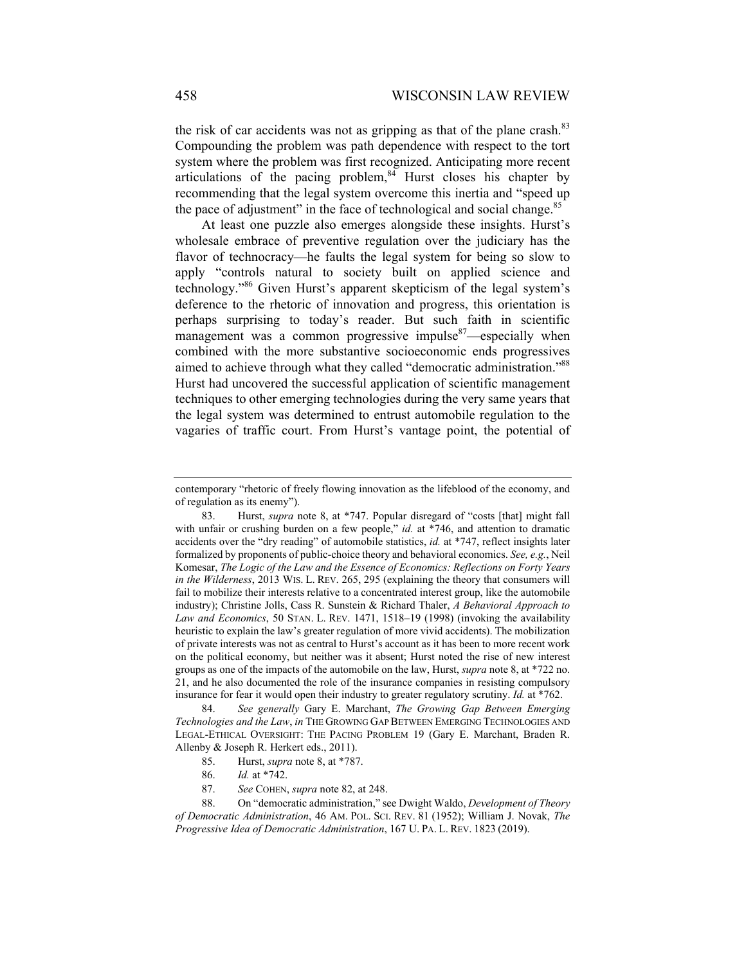the risk of car accidents was not as gripping as that of the plane crash. $83$ Compounding the problem was path dependence with respect to the tort system where the problem was first recognized. Anticipating more recent articulations of the pacing problem,  $\frac{84}{9}$  Hurst closes his chapter by recommending that the legal system overcome this inertia and "speed up the pace of adjustment" in the face of technological and social change.<sup>85</sup>

At least one puzzle also emerges alongside these insights. Hurst's wholesale embrace of preventive regulation over the judiciary has the flavor of technocracy—he faults the legal system for being so slow to apply "controls natural to society built on applied science and technology."86 Given Hurst's apparent skepticism of the legal system's deference to the rhetoric of innovation and progress, this orientation is perhaps surprising to today's reader. But such faith in scientific management was a common progressive impulse<sup>87</sup>—especially when combined with the more substantive socioeconomic ends progressives aimed to achieve through what they called "democratic administration."<sup>88</sup> Hurst had uncovered the successful application of scientific management techniques to other emerging technologies during the very same years that the legal system was determined to entrust automobile regulation to the vagaries of traffic court. From Hurst's vantage point, the potential of

 84. *See generally* Gary E. Marchant, *The Growing Gap Between Emerging Technologies and the Law*, *in* THE GROWING GAP BETWEEN EMERGING TECHNOLOGIES AND LEGAL-ETHICAL OVERSIGHT: THE PACING PROBLEM 19 (Gary E. Marchant, Braden R. Allenby & Joseph R. Herkert eds., 2011).

85. Hurst, *supra* note 8, at \*787.

87. *See* COHEN, *supra* note 82, at 248.

 88. On "democratic administration," see Dwight Waldo, *Development of Theory of Democratic Administration*, 46 AM. POL. SCI. REV. 81 (1952); William J. Novak, *The Progressive Idea of Democratic Administration*, 167 U. PA. L. REV. 1823 (2019).

contemporary "rhetoric of freely flowing innovation as the lifeblood of the economy, and of regulation as its enemy").

 <sup>83.</sup> Hurst, *supra* note 8, at \*747. Popular disregard of "costs [that] might fall with unfair or crushing burden on a few people," *id.* at \*746, and attention to dramatic accidents over the "dry reading" of automobile statistics, *id.* at \*747, reflect insights later formalized by proponents of public-choice theory and behavioral economics. *See, e.g.*, Neil Komesar, *The Logic of the Law and the Essence of Economics: Reflections on Forty Years in the Wilderness*, 2013 WIS. L. REV. 265, 295 (explaining the theory that consumers will fail to mobilize their interests relative to a concentrated interest group, like the automobile industry); Christine Jolls, Cass R. Sunstein & Richard Thaler, *A Behavioral Approach to Law and Economics*, 50 STAN. L. REV. 1471, 1518–19 (1998) (invoking the availability heuristic to explain the law's greater regulation of more vivid accidents). The mobilization of private interests was not as central to Hurst's account as it has been to more recent work on the political economy, but neither was it absent; Hurst noted the rise of new interest groups as one of the impacts of the automobile on the law, Hurst, *supra* note 8, at \*722 no. 21, and he also documented the role of the insurance companies in resisting compulsory insurance for fear it would open their industry to greater regulatory scrutiny. *Id.* at \*762.

 <sup>86.</sup> *Id.* at \*742.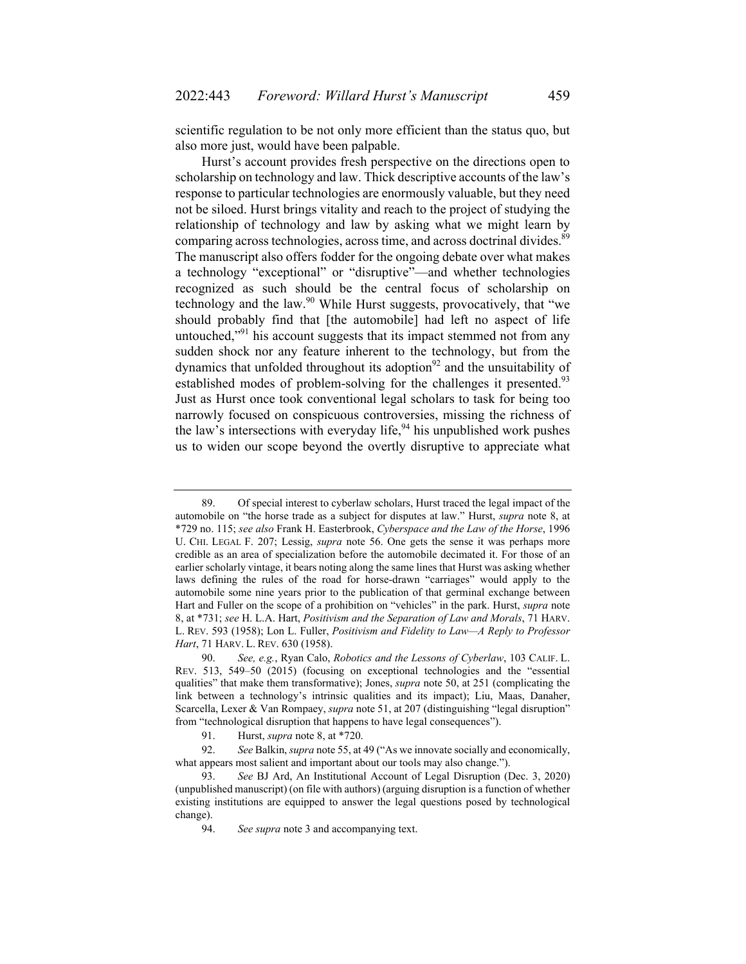scientific regulation to be not only more efficient than the status quo, but also more just, would have been palpable.

Hurst's account provides fresh perspective on the directions open to scholarship on technology and law. Thick descriptive accounts of the law's response to particular technologies are enormously valuable, but they need not be siloed. Hurst brings vitality and reach to the project of studying the relationship of technology and law by asking what we might learn by comparing across technologies, across time, and across doctrinal divides.<sup>89</sup> The manuscript also offers fodder for the ongoing debate over what makes a technology "exceptional" or "disruptive"—and whether technologies recognized as such should be the central focus of scholarship on technology and the law. $90$  While Hurst suggests, provocatively, that "we should probably find that [the automobile] had left no aspect of life untouched, $"^{91}$  his account suggests that its impact stemmed not from any sudden shock nor any feature inherent to the technology, but from the dynamics that unfolded throughout its adoption $92$  and the unsuitability of established modes of problem-solving for the challenges it presented.<sup>93</sup> Just as Hurst once took conventional legal scholars to task for being too narrowly focused on conspicuous controversies, missing the richness of the law's intersections with everyday life,<sup>94</sup> his unpublished work pushes us to widen our scope beyond the overtly disruptive to appreciate what

 <sup>89.</sup> Of special interest to cyberlaw scholars, Hurst traced the legal impact of the automobile on "the horse trade as a subject for disputes at law." Hurst, *supra* note 8, at \*729 no. 115; *see also* Frank H. Easterbrook, *Cyberspace and the Law of the Horse*, 1996 U. CHI. LEGAL F. 207; Lessig, *supra* note 56. One gets the sense it was perhaps more credible as an area of specialization before the automobile decimated it. For those of an earlier scholarly vintage, it bears noting along the same lines that Hurst was asking whether laws defining the rules of the road for horse-drawn "carriages" would apply to the automobile some nine years prior to the publication of that germinal exchange between Hart and Fuller on the scope of a prohibition on "vehicles" in the park. Hurst, *supra* note 8, at \*731; *see* H. L.A. Hart, *Positivism and the Separation of Law and Morals*, 71 HARV. L. REV. 593 (1958); Lon L. Fuller, *Positivism and Fidelity to Law—A Reply to Professor Hart*, 71 HARV. L. REV. 630 (1958).

 <sup>90.</sup> *See, e.g.*, Ryan Calo, *Robotics and the Lessons of Cyberlaw*, 103 CALIF. L. REV. 513, 549–50 (2015) (focusing on exceptional technologies and the "essential qualities" that make them transformative); Jones, *supra* note 50, at 251 (complicating the link between a technology's intrinsic qualities and its impact); Liu, Maas, Danaher, Scarcella, Lexer & Van Rompaey, *supra* note 51, at 207 (distinguishing "legal disruption" from "technological disruption that happens to have legal consequences").

 <sup>91.</sup> Hurst, *supra* note 8, at \*720.

 <sup>92.</sup> *See* Balkin, *supra* note 55, at 49 ("As we innovate socially and economically, what appears most salient and important about our tools may also change.").

 <sup>93.</sup> *See* BJ Ard, An Institutional Account of Legal Disruption (Dec. 3, 2020) (unpublished manuscript) (on file with authors) (arguing disruption is a function of whether existing institutions are equipped to answer the legal questions posed by technological change).

 <sup>94.</sup> *See supra* note 3 and accompanying text.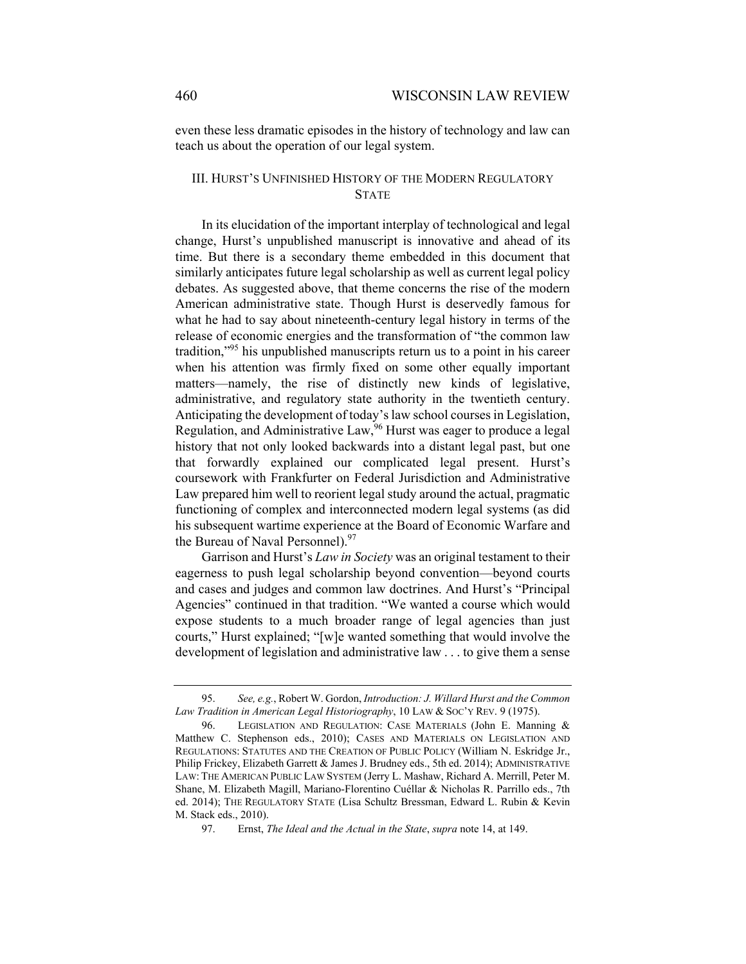even these less dramatic episodes in the history of technology and law can teach us about the operation of our legal system.

## III. HURST'S UNFINISHED HISTORY OF THE MODERN REGULATORY **STATE**

In its elucidation of the important interplay of technological and legal change, Hurst's unpublished manuscript is innovative and ahead of its time. But there is a secondary theme embedded in this document that similarly anticipates future legal scholarship as well as current legal policy debates. As suggested above, that theme concerns the rise of the modern American administrative state. Though Hurst is deservedly famous for what he had to say about nineteenth-century legal history in terms of the release of economic energies and the transformation of "the common law tradition,"95 his unpublished manuscripts return us to a point in his career when his attention was firmly fixed on some other equally important matters—namely, the rise of distinctly new kinds of legislative, administrative, and regulatory state authority in the twentieth century. Anticipating the development of today's law school courses in Legislation, Regulation, and Administrative Law,<sup>96</sup> Hurst was eager to produce a legal history that not only looked backwards into a distant legal past, but one that forwardly explained our complicated legal present. Hurst's coursework with Frankfurter on Federal Jurisdiction and Administrative Law prepared him well to reorient legal study around the actual, pragmatic functioning of complex and interconnected modern legal systems (as did his subsequent wartime experience at the Board of Economic Warfare and the Bureau of Naval Personnel).<sup>97</sup>

Garrison and Hurst's *Law in Society* was an original testament to their eagerness to push legal scholarship beyond convention—beyond courts and cases and judges and common law doctrines. And Hurst's "Principal Agencies" continued in that tradition. "We wanted a course which would expose students to a much broader range of legal agencies than just courts," Hurst explained; "[w]e wanted something that would involve the development of legislation and administrative law . . . to give them a sense

 <sup>95.</sup> *See, e.g.*, Robert W. Gordon, *Introduction: J. Willard Hurst and the Common Law Tradition in American Legal Historiography*, 10 LAW & SOC'Y REV. 9 (1975).

 <sup>96.</sup> LEGISLATION AND REGULATION: CASE MATERIALS (John E. Manning & Matthew C. Stephenson eds., 2010); CASES AND MATERIALS ON LEGISLATION AND REGULATIONS: STATUTES AND THE CREATION OF PUBLIC POLICY (William N. Eskridge Jr., Philip Frickey, Elizabeth Garrett & James J. Brudney eds., 5th ed. 2014); ADMINISTRATIVE LAW: THE AMERICAN PUBLIC LAW SYSTEM (Jerry L. Mashaw, Richard A. Merrill, Peter M. Shane, M. Elizabeth Magill, Mariano-Florentino Cuéllar & Nicholas R. Parrillo eds., 7th ed. 2014); THE REGULATORY STATE (Lisa Schultz Bressman, Edward L. Rubin & Kevin M. Stack eds., 2010).

 <sup>97.</sup> Ernst, *The Ideal and the Actual in the State*, *supra* note 14, at 149.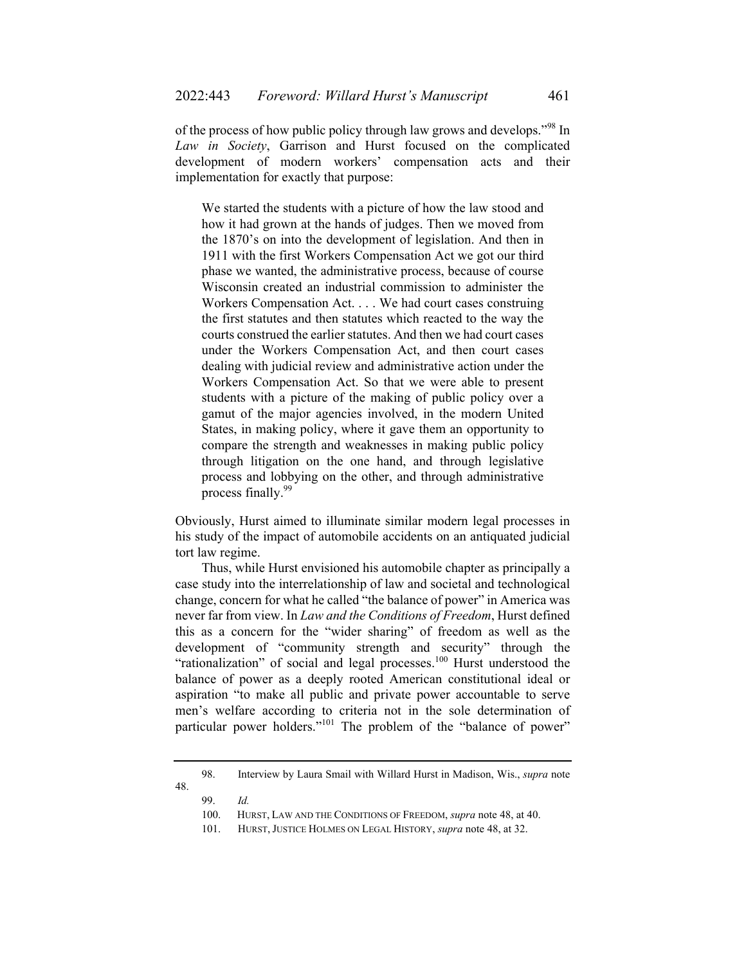of the process of how public policy through law grows and develops."98 In *Law in Society*, Garrison and Hurst focused on the complicated development of modern workers' compensation acts and their implementation for exactly that purpose:

We started the students with a picture of how the law stood and how it had grown at the hands of judges. Then we moved from the 1870's on into the development of legislation. And then in 1911 with the first Workers Compensation Act we got our third phase we wanted, the administrative process, because of course Wisconsin created an industrial commission to administer the Workers Compensation Act. . . . We had court cases construing the first statutes and then statutes which reacted to the way the courts construed the earlier statutes. And then we had court cases under the Workers Compensation Act, and then court cases dealing with judicial review and administrative action under the Workers Compensation Act. So that we were able to present students with a picture of the making of public policy over a gamut of the major agencies involved, in the modern United States, in making policy, where it gave them an opportunity to compare the strength and weaknesses in making public policy through litigation on the one hand, and through legislative process and lobbying on the other, and through administrative process finally.99

Obviously, Hurst aimed to illuminate similar modern legal processes in his study of the impact of automobile accidents on an antiquated judicial tort law regime.

Thus, while Hurst envisioned his automobile chapter as principally a case study into the interrelationship of law and societal and technological change, concern for what he called "the balance of power" in America was never far from view. In *Law and the Conditions of Freedom*, Hurst defined this as a concern for the "wider sharing" of freedom as well as the development of "community strength and security" through the "rationalization" of social and legal processes.<sup>100</sup> Hurst understood the balance of power as a deeply rooted American constitutional ideal or aspiration "to make all public and private power accountable to serve men's welfare according to criteria not in the sole determination of particular power holders."<sup>101</sup> The problem of the "balance of power"

 <sup>98.</sup> Interview by Laura Smail with Willard Hurst in Madison, Wis., *supra* note 48.

 <sup>99.</sup> *Id.* 

 <sup>100.</sup> HURST, LAW AND THE CONDITIONS OF FREEDOM, *supra* note 48, at 40.

 <sup>101.</sup> HURST, JUSTICE HOLMES ON LEGAL HISTORY, *supra* note 48, at 32.